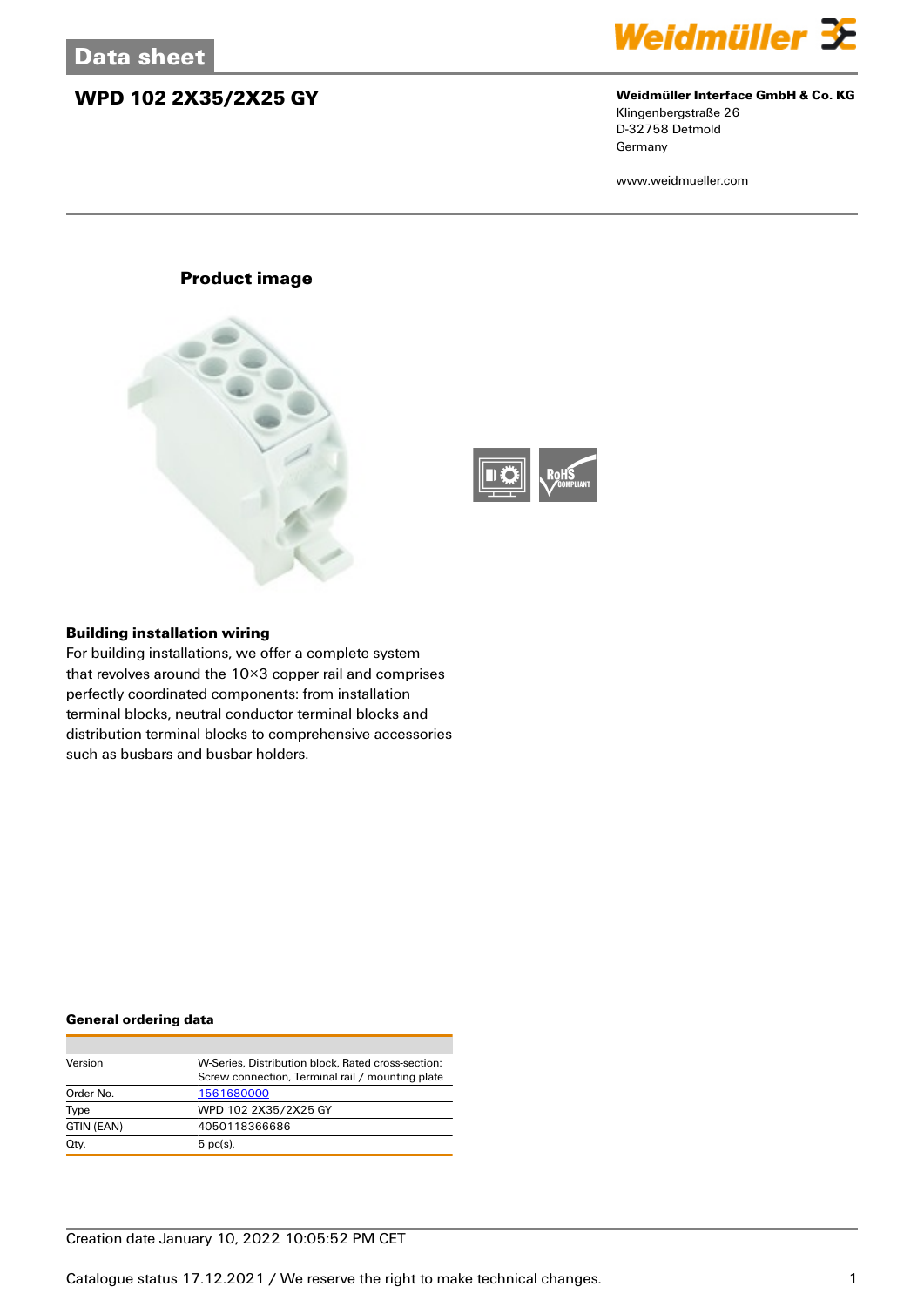## **WPD 102 2X35/2X25 GY Weidmüller Interface GmbH & Co. KG**



Klingenbergstraße 26 D-32758 Detmold Germany

www.weidmueller.com

## **Product image**





### **Building installation wiring**

For building installations, we offer a complete system that revolves around the 10×3 copper rail and comprises perfectly coordinated components: from installation terminal blocks, neutral conductor terminal blocks and distribution terminal blocks to comprehensive accessories such as busbars and busbar holders.

### **General ordering data**

| Version    | W-Series. Distribution block. Rated cross-section: |
|------------|----------------------------------------------------|
|            | Screw connection, Terminal rail / mounting plate   |
| Order No.  | 1561680000                                         |
| Type       | WPD 102 2X35/2X25 GY                               |
| GTIN (EAN) | 4050118366686                                      |
| Qty.       | $5$ pc(s).                                         |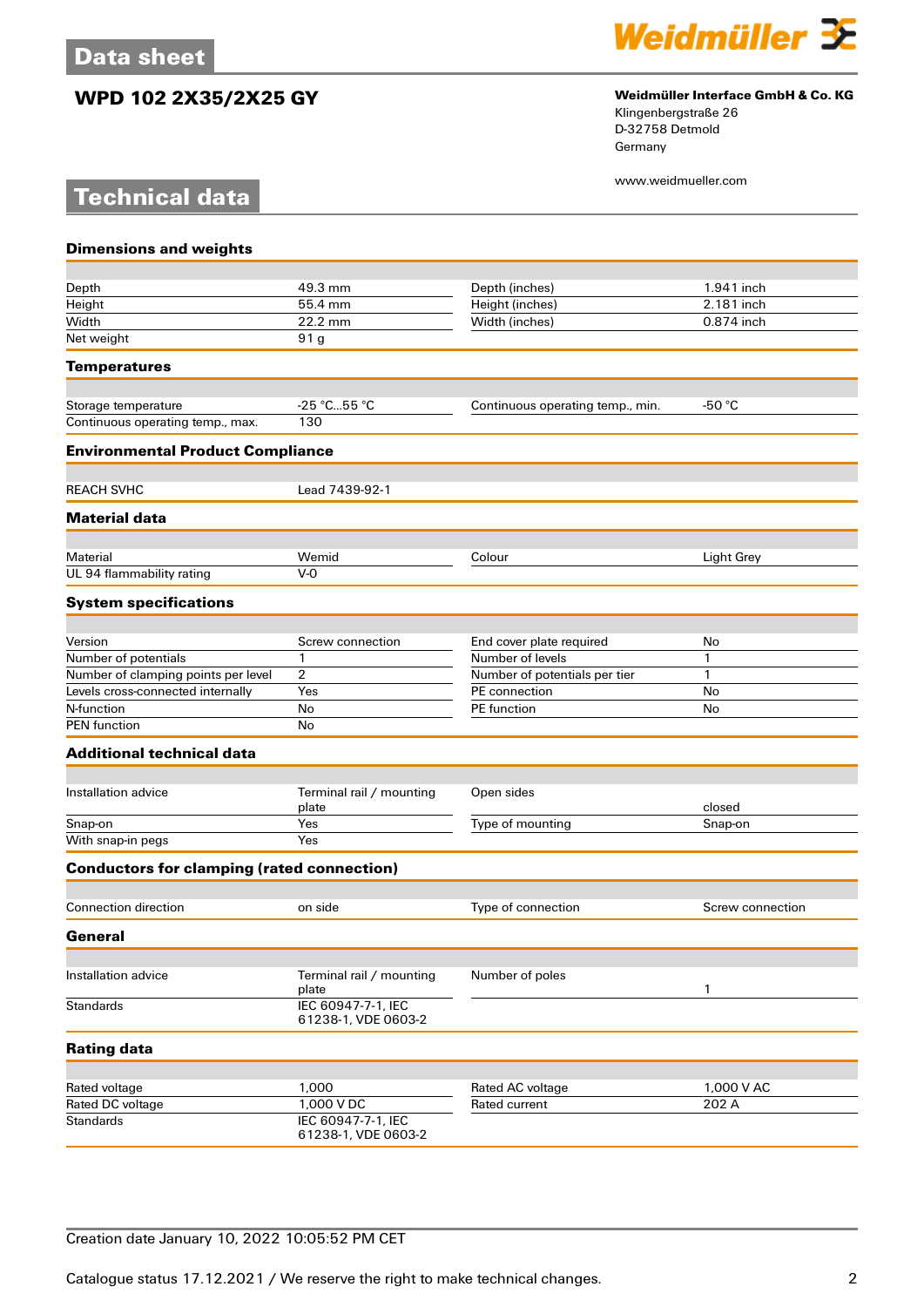**Technical data**

# **WPD 102 2X35/2X25 GY Weidmüller Interface GmbH & Co. KG**



Klingenbergstraße 26 D-32758 Detmold Germany

www.weidmueller.com

| <b>Dimensions and weights</b>                     |                                           |                                   |                     |
|---------------------------------------------------|-------------------------------------------|-----------------------------------|---------------------|
|                                                   |                                           |                                   |                     |
| Depth                                             | 49.3 mm                                   | Depth (inches)                    | 1.941 inch          |
| Height                                            | 55.4 mm                                   | Height (inches)                   | 2.181 inch          |
| Width                                             | 22.2 mm                                   | Width (inches)                    | 0.874 inch          |
| Net weight                                        | 91 g                                      |                                   |                     |
| <b>Temperatures</b>                               |                                           |                                   |                     |
| Storage temperature                               | $-25 °C55 °C$                             | Continuous operating temp., min.  | -50 $^{\circ}$ C    |
| Continuous operating temp., max.                  | 130                                       |                                   |                     |
| <b>Environmental Product Compliance</b>           |                                           |                                   |                     |
| <b>REACH SVHC</b>                                 | Lead 7439-92-1                            |                                   |                     |
| <b>Material data</b>                              |                                           |                                   |                     |
|                                                   |                                           |                                   |                     |
| Material                                          | Wemid                                     | Colour                            | Light Grey          |
| UL 94 flammability rating                         | $V-0$                                     |                                   |                     |
| <b>System specifications</b>                      |                                           |                                   |                     |
| Version                                           | Screw connection                          | End cover plate required          | No                  |
| Number of potentials                              | $\mathbf{1}$                              | Number of levels                  | 1                   |
| Number of clamping points per level               | 2                                         | Number of potentials per tier     | 1                   |
| Levels cross-connected internally                 | Yes                                       | PE connection                     | No                  |
| N-function                                        | No                                        | PE function                       | No                  |
| <b>PEN</b> function                               | No                                        |                                   |                     |
| <b>Additional technical data</b>                  |                                           |                                   |                     |
|                                                   |                                           |                                   |                     |
| Installation advice                               | Terminal rail / mounting<br>plate         | Open sides                        | closed              |
| Snap-on                                           | Yes                                       | Type of mounting                  | Snap-on             |
| With snap-in pegs                                 | Yes                                       |                                   |                     |
| <b>Conductors for clamping (rated connection)</b> |                                           |                                   |                     |
| <b>Connection direction</b>                       | on side                                   | Type of connection                | Screw connection    |
| General                                           |                                           |                                   |                     |
|                                                   |                                           |                                   |                     |
| Installation advice                               | Terminal rail / mounting<br>plate         | Number of poles                   | 1                   |
| <b>Standards</b>                                  | IEC 60947-7-1, IEC<br>61238-1, VDE 0603-2 |                                   |                     |
| <b>Rating data</b>                                |                                           |                                   |                     |
|                                                   |                                           |                                   |                     |
| Rated voltage<br>Rated DC voltage                 | 1,000<br>1,000 V DC                       | Rated AC voltage<br>Rated current | 1,000 V AC<br>202 A |
| <b>Standards</b>                                  | IEC 60947-7-1, IEC                        |                                   |                     |
|                                                   | 61238-1, VDE 0603-2                       |                                   |                     |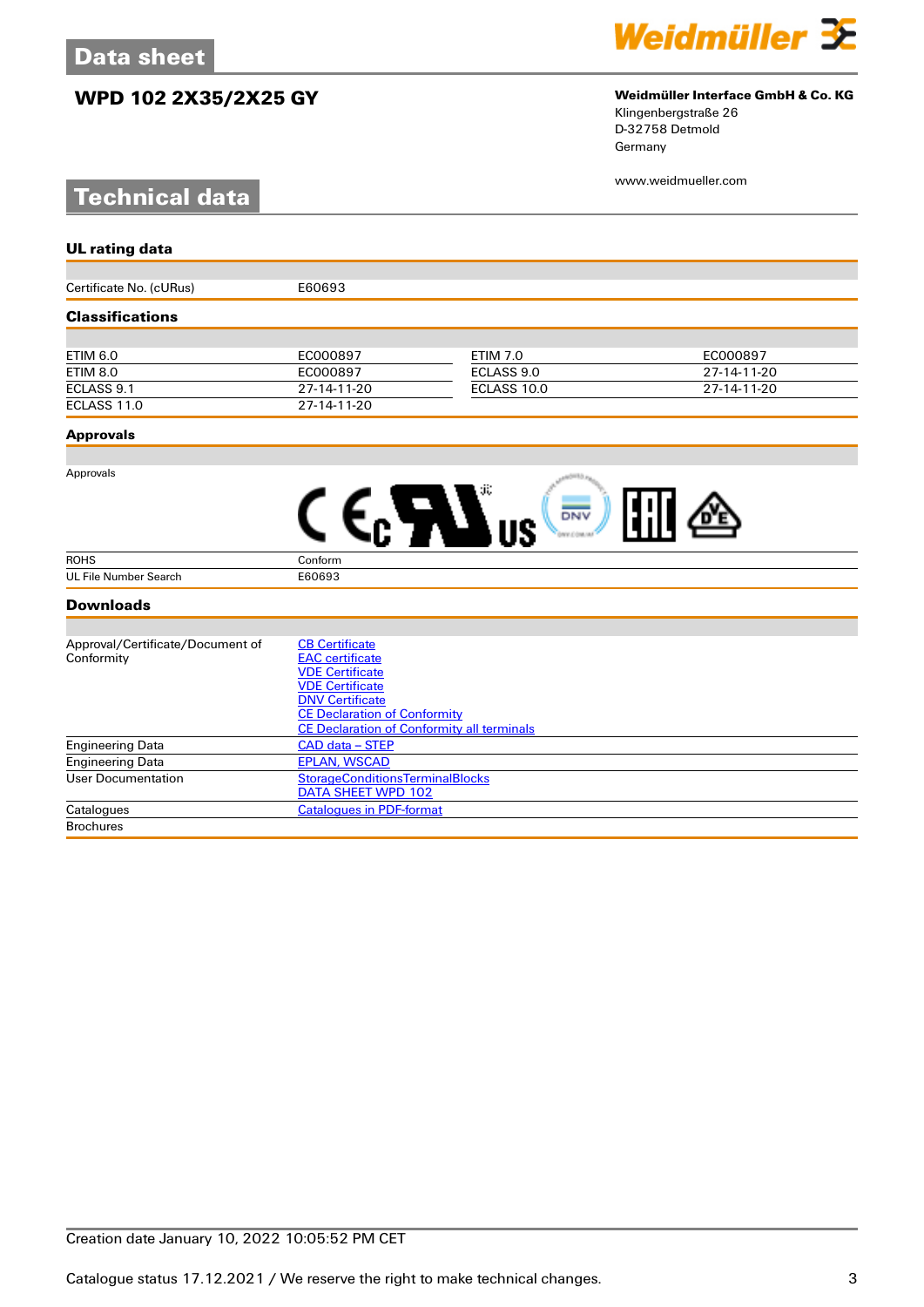# **WPD 102 2X35/2X25 GY Weidmüller Interface GmbH & Co. KG**

# **Technical data**



# Klingenbergstraße 26

D-32758 Detmold Germany

www.weidmueller.com

| <b>UL rating data</b>            |                                                   |                 |             |  |
|----------------------------------|---------------------------------------------------|-----------------|-------------|--|
|                                  |                                                   |                 |             |  |
| Certificate No. (cURus)          | E60693                                            |                 |             |  |
| <b>Classifications</b>           |                                                   |                 |             |  |
|                                  |                                                   |                 |             |  |
| <b>ETIM 6.0</b>                  | EC000897                                          | <b>ETIM 7.0</b> | EC000897    |  |
| <b>ETIM 8.0</b>                  | EC000897                                          | ECLASS 9.0      | 27-14-11-20 |  |
| ECLASS 9.1                       | 27-14-11-20                                       | ECLASS 10.0     | 27-14-11-20 |  |
| ECLASS 11.0                      | 27-14-11-20                                       |                 |             |  |
| <b>Approvals</b>                 |                                                   |                 |             |  |
|                                  |                                                   |                 |             |  |
| Approvals                        |                                                   |                 |             |  |
|                                  |                                                   | DNV             |             |  |
|                                  |                                                   |                 |             |  |
| <b>ROHS</b>                      | Conform                                           |                 |             |  |
| <b>UL File Number Search</b>     | E60693                                            |                 |             |  |
| <b>Downloads</b>                 |                                                   |                 |             |  |
|                                  |                                                   |                 |             |  |
| Approval/Certificate/Document of | <b>CB Certificate</b>                             |                 |             |  |
| Conformity                       | <b>EAC</b> certificate                            |                 |             |  |
|                                  | <b>VDE Certificate</b>                            |                 |             |  |
|                                  | <b>VDE Certificate</b><br><b>DNV Certificate</b>  |                 |             |  |
|                                  | <b>CE Declaration of Conformity</b>               |                 |             |  |
|                                  | <b>CE Declaration of Conformity all terminals</b> |                 |             |  |
| <b>Engineering Data</b>          | CAD data - STEP                                   |                 |             |  |
| <b>Engineering Data</b>          | <b>EPLAN, WSCAD</b>                               |                 |             |  |
| <b>User Documentation</b>        | <b>StorageConditionsTerminalBlocks</b>            |                 |             |  |
|                                  | <b>DATA SHEET WPD 102</b>                         |                 |             |  |

Catalogues Catalogues [Catalogues in PDF-format](http://catalog.weidmueller.com/assets/LINK/Catalog.html)

**Brochures**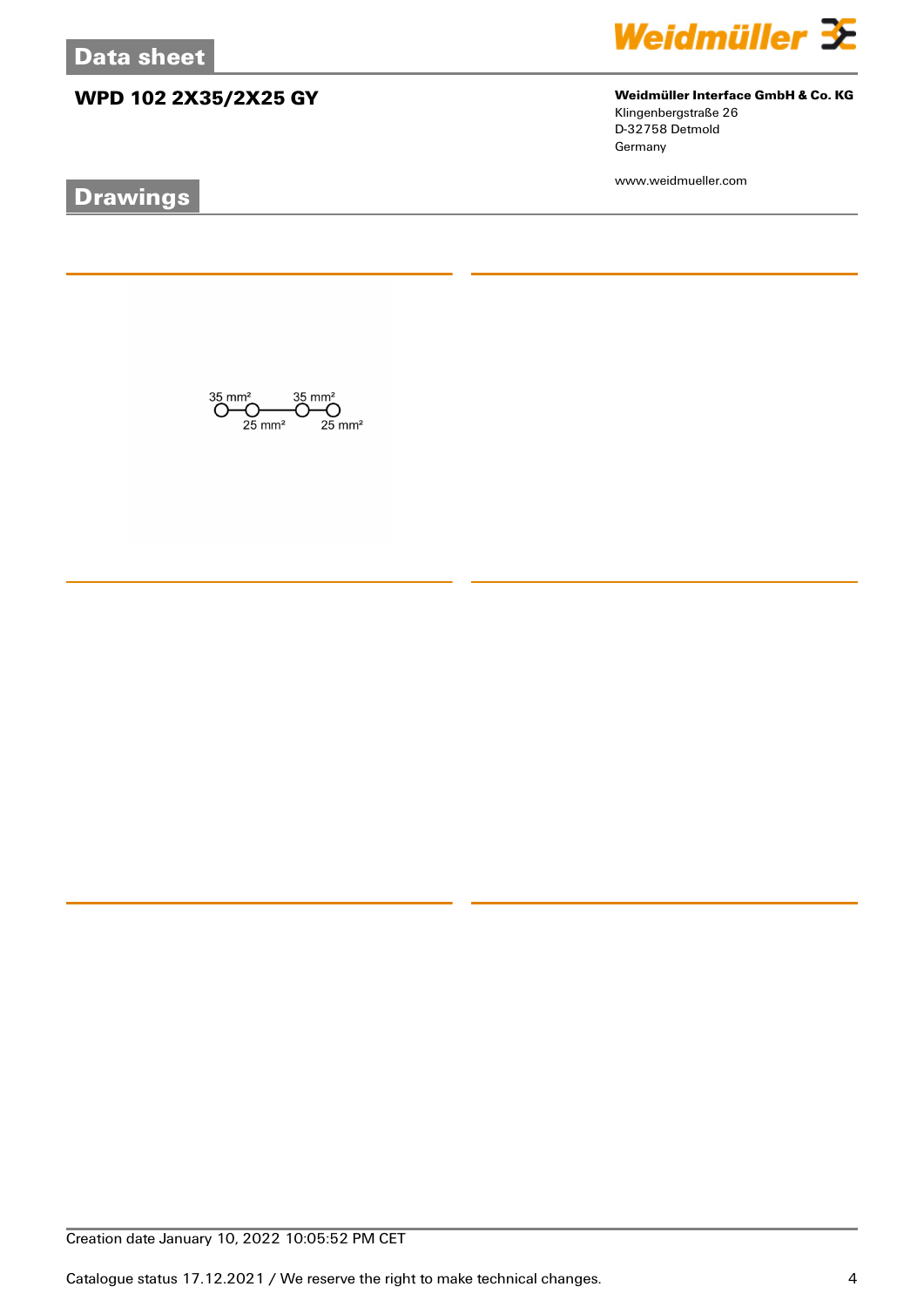# **WPD 102 2X35/2X25 GY Weidmüller Interface GmbH & Co. KG**

 $\bigodot \hspace{-0.5em}\begin{array}{c}\hspace{-0.5em}35 \hspace{-0.5em}\mod\hspace{-0.2em} 35 \hspace{-0.5em}\mod\hspace{-0.2em} 35\,mm^2\\ \hspace{-0.5em}\bigodot \hspace{-0.5em}\bigodot \hspace{-0.5em}\bigodot \hspace{-0.5em}\bigodot \hspace{-0.5em}\bigodot \hspace{-0.5em}\mod\hspace{-0.2em} 35 \hspace{-0.5em}\mod\hspace{-0.2em} 35\,mm^2\\ \hspace{-0.5em}\text{25 mm}^2 \hspace{-0.5em}\mod\hspace{-$ 

# **Drawings**



Klingenbergstraße 26 D-32758 Detmold Germany

www.weidmueller.com

Creation date January 10, 2022 10:05:52 PM CET

Catalogue status 17.12.2021 / We reserve the right to make technical changes. 4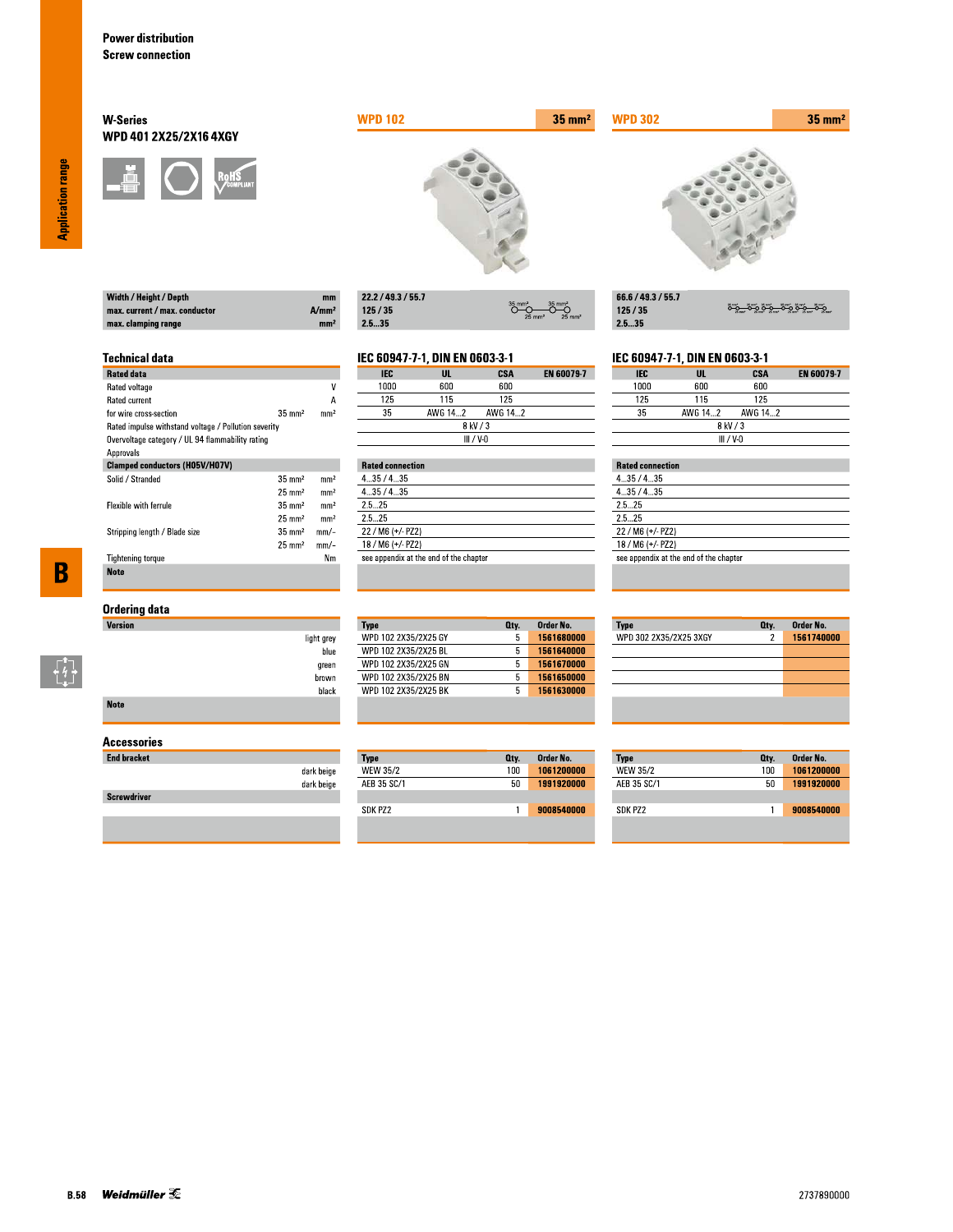Width / Height / Depth max. current / max. conductor

max. clamping range

**Technical data** 

for wire cross-section

Rated data Rated voltage

Rated current

Approvals

Solid / Stranded

Flexible with ferrule

**Tightening torque** 

**Note** 

Stripping length / Blade size

## **W-Series** WPD 401 2X25/2X16 4XGY



Rated impulse withstand voltage / Pollution severity Overvoltage category / UL 94 flammability rating

**Clamped conductors (H05V/H07V)** 



| 22.2 / 49.3 / 55.7 |                                                                   |
|--------------------|-------------------------------------------------------------------|
| 125/35             | $35$ mm <sup>2</sup><br>$25 \text{ mm}^2$<br>$25$ mm <sup>2</sup> |
| -- --              |                                                                   |

# IEC 60947-7-1, DIN EN 0603-3-1

 $A/mm<sup>2</sup>$ 

mm<sup>2</sup>

 $\overline{\mathsf{v}}$ 

 $\overline{A}$ 

 $mm<sup>2</sup>$ 

 $\rm mm^2$ 

 $\mathrm{mm}^2$ 

 $mm<sup>2</sup>$ 

 $mm<sup>2</sup>$ 

 $mm/-$ 

 $mm/-$ 

 $Nm$ 

 $35 \text{ mm}^2$ 

 $35\;\mathrm{mm}^2$ 

 $25\;\mathrm{mm}^2$ 

 $35\;\mathrm{mm}^2$ 

 $25 \text{ mm}^2$ 

 $35 \text{ mm}^2$ 

 $25 \text{ mm}^2$ 

| IEC      | UL      | CSA       | <b>EN 60079-7</b> |  |
|----------|---------|-----------|-------------------|--|
| 1000     | 600     | 600       |                   |  |
| 125      | 115     | 125       |                   |  |
| 35       | AWG 142 | AWG 142   |                   |  |
| 8 kV / 3 |         |           |                   |  |
|          |         | III / V-N |                   |  |

|         | <b>Rated connection</b>                |  |  |  |
|---------|----------------------------------------|--|--|--|
| 435/435 |                                        |  |  |  |
| 435/435 |                                        |  |  |  |
| 25 25   |                                        |  |  |  |
| 25 25   |                                        |  |  |  |
|         | 22 / M6 (+/- PZ2)                      |  |  |  |
|         | 18 / M6 (+/- PZ2)                      |  |  |  |
|         | see appendix at the end of the chapter |  |  |  |

 $35 \text{ mm}^2$ 

| 66.6 / 49.3 / 55.7 |                       |
|--------------------|-----------------------|
| 125/35             | <u>ۄٷ؎ٷۄٷ؎ۣٷۄٷ؎</u> ٷ |
| 25.35              |                       |

### IEC 60947-7-1, DIN EN 0603-3-1

| <b>IEC</b>  | UL      | CSA     | <b>EN 60079-7</b> |
|-------------|---------|---------|-------------------|
| 1000        | 600     | 600     |                   |
| 125         | 115     | 125     |                   |
| 35          | AWG 142 | AWG 142 |                   |
| 8 kV / 3    |         |         |                   |
| $III / V-0$ |         |         |                   |

## **Rated connection**

**WPD 302** 

| 4.35/4.35                              |  |
|----------------------------------------|--|
| 435/435                                |  |
| 2.5 25                                 |  |
| 25 25                                  |  |
| $22 / M6 (+/- PZ2)$                    |  |
| 18 / M6 (+/- PZ2)                      |  |
| see appendix at the end of the chapter |  |
|                                        |  |

# $\overline{\mathbf{B}}$

 $\begin{bmatrix} 7 \\ 4 \\ 1 \end{bmatrix}$ 

# **Ordering data**

| Version     |            |
|-------------|------------|
|             | light grey |
|             | blue       |
|             | green      |
|             | brown      |
|             | black      |
| <b>Note</b> |            |

### **Accessories**

| <b>End bracket</b> |            |
|--------------------|------------|
|                    | dark beige |
|                    | dark beige |
| <b>Screwdriver</b> |            |
|                    |            |

### Order No. **Type** Oty. WPD 102 2X35/2X25 GY 1561680000  $5<sup>7</sup>$ 1561640000 WPD 102 2X35/2X25 BL  $5$ WPD 102 2X35/2X25 GN  $5<sub>1</sub>$ 1561670000 WPD 102 2X35/2X25 BN  $5 - 1561650000$ WPD 102 2X35/2X25 BK  $5<sup>7</sup>$ 1561630000

| Type        | Oty. | Order No.  |
|-------------|------|------------|
| WEW 35/2    | 100  | 1061200000 |
| AEB 35 SC/1 | 50   | 1991920000 |
|             |      |            |
| SDK PZ2     |      | 9008540000 |

| <b>Type</b>            | Qty. | Order No.  |
|------------------------|------|------------|
| WPD 302 2X35/2X25 3XGY | 2    | 1561740000 |
|                        |      |            |
|                        |      |            |
|                        |      |            |
|                        |      |            |
|                        |      |            |
|                        |      |            |

| Type            | Qty. | Order No.  |
|-----------------|------|------------|
| <b>WEW 35/2</b> | 100  | 1061200000 |
| AFB 35 SC/1     | 50   | 1991920000 |
|                 |      |            |
| SDK P72         |      | 9008540000 |

**Application range**